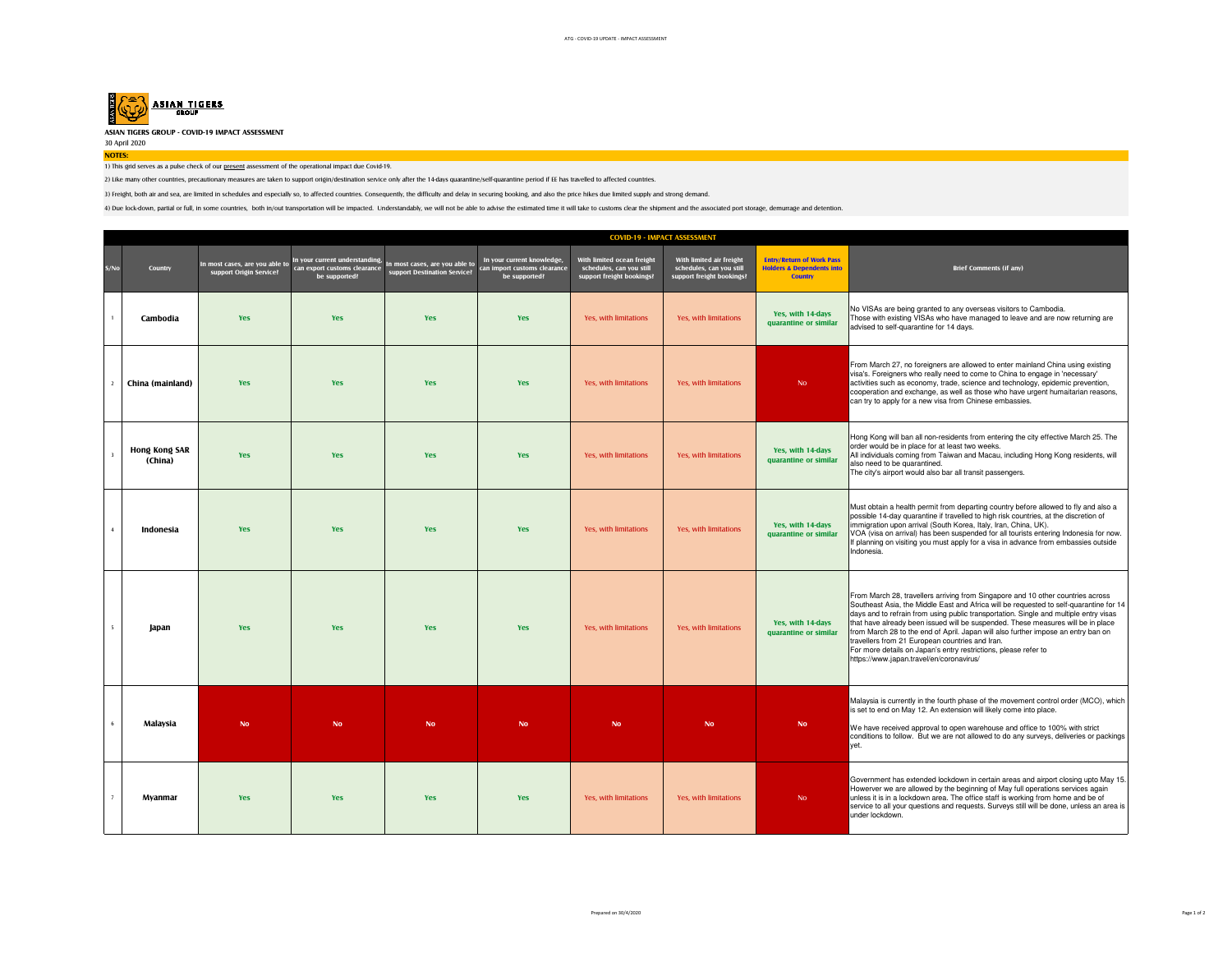

**ASIAN TIGERS GROUP - COVID-19 IMPACT ASSESSMENT**

30 April 2020**NOTES:**

1) This grid serves as a pulse check of our present assessment of the operational impact due Covid-19.

2) Like many other countries, precautionary measures are taken to support origin/destination service only after the 14-days quarantine/self-quarantine period if EE has travelled to affected countries.

3) Freight, both air and sea, are limited in schedules and especially so, to affected countries. Consequently, the difficulty and delay in securing booking, and also the price hikes due limited supply and strong demand.

4) Due lock-down, partial or full, in some countries, both in/out transportation will be impacted. Understandably, we will not be able to advise the estimated time it will take to customs clear the shipment and the associa

|                          | <b>COVID-19 - IMPACT ASSESSMENT</b> |                                                           |                                                                                 |                                                                |                                                                             |                                                                                     |                                                                                   |                                                                                            |                                                                                                                                                                                                                                                                                                                                                                                                                                                                                                                                                                                                               |
|--------------------------|-------------------------------------|-----------------------------------------------------------|---------------------------------------------------------------------------------|----------------------------------------------------------------|-----------------------------------------------------------------------------|-------------------------------------------------------------------------------------|-----------------------------------------------------------------------------------|--------------------------------------------------------------------------------------------|---------------------------------------------------------------------------------------------------------------------------------------------------------------------------------------------------------------------------------------------------------------------------------------------------------------------------------------------------------------------------------------------------------------------------------------------------------------------------------------------------------------------------------------------------------------------------------------------------------------|
| S/No                     | Country                             | In most cases, are you able to<br>support Origin Service? | In your current understanding,<br>can export customs clearance<br>be supported? | In most cases, are you able to<br>support Destination Service? | In your current knowledge,<br>can import customs clearance<br>be supported? | With limited ocean freight<br>schedules, can you still<br>support freight bookings? | With limited air freight<br>schedules, can you still<br>support freight bookings? | <b>Entry/Return of Work Pass</b><br><b>Holders &amp; Dependents into</b><br><b>Country</b> | <b>Brief Comments (if any)</b>                                                                                                                                                                                                                                                                                                                                                                                                                                                                                                                                                                                |
|                          | Cambodia                            | <b>Yes</b>                                                | <b>Yes</b>                                                                      | Yes                                                            | Yes                                                                         | Yes, with limitations                                                               | <b>Yes, with limitations</b>                                                      | Yes, with 14-days<br>quarantine or similar                                                 | No VISAs are being granted to any overseas visitors to Cambodia.<br>Those with existing VISAs who have managed to leave and are now returning are<br>advised to self-quarantine for 14 days.                                                                                                                                                                                                                                                                                                                                                                                                                  |
|                          | China (mainland)                    | Yes                                                       | <b>Yes</b>                                                                      | <b>Yes</b>                                                     | Yes                                                                         | Yes, with limitations                                                               | Yes, with limitations                                                             | N <sub>o</sub>                                                                             | From March 27, no foreigners are allowed to enter mainland China using existing<br>visa's. Foreigners who really need to come to China to engage in 'necessary'<br>activities such as economy, trade, science and technology, epidemic prevention,<br>cooperation and exchange, as well as those who have urgent humaitarian reasons,<br>can try to apply for a new visa from Chinese embassies.                                                                                                                                                                                                              |
|                          | Hong Kong SAR<br>(China)            | <b>Yes</b>                                                | <b>Yes</b>                                                                      | <b>Yes</b>                                                     | Yes                                                                         | Yes, with limitations                                                               | Yes, with limitations                                                             | Yes, with 14-days<br>quarantine or similar                                                 | Hong Kong will ban all non-residents from entering the city effective March 25. The<br>order would be in place for at least two weeks.<br>All individuals coming from Taiwan and Macau, including Hong Kong residents, will<br>also need to be quarantined.<br>The city's airport would also bar all transit passengers.                                                                                                                                                                                                                                                                                      |
| $\overline{4}$           | Indonesia                           | Yes                                                       | <b>Yes</b>                                                                      | Yes                                                            | Yes                                                                         | Yes, with limitations                                                               | Yes, with limitations                                                             | Yes, with 14-days<br>quarantine or similar                                                 | Must obtain a health permit from departing country before allowed to fly and also a<br>possible 14-day quarantine if travelled to high risk countries, at the discretion of<br>immigration upon arrival (South Korea, Italy, Iran, China, UK).<br>VOA (visa on arrival) has been suspended for all tourists entering Indonesia for now.<br>If planning on visiting you must apply for a visa in advance from embassies outside<br>Indonesia.                                                                                                                                                                  |
| $\overline{\phantom{a}}$ | Japan                               | <b>Yes</b>                                                | <b>Yes</b>                                                                      | <b>Yes</b>                                                     | Yes                                                                         | Yes, with limitations                                                               | Yes, with limitations                                                             | Yes, with 14-days<br>quarantine or similar                                                 | From March 28, travellers arriving from Singapore and 10 other countries across<br>Southeast Asia, the Middle East and Africa will be requested to self-quarantine for 14<br>days and to refrain from using public transportation. Single and multiple entry visas<br>that have already been issued will be suspended. These measures will be in place<br>from March 28 to the end of April. Japan will also further impose an entry ban on<br>travellers from 21 European countries and Iran.<br>For more details on Japan's entry restrictions, please refer to<br>https://www.japan.travel/en/coronavirus/ |
|                          | Malaysia                            | <b>No</b>                                                 | <b>No</b>                                                                       | <b>No</b>                                                      | <b>No</b>                                                                   | <b>No</b>                                                                           | <b>No</b>                                                                         | <b>No</b>                                                                                  | Malaysia is currently in the fourth phase of the movement control order (MCO), which<br>is set to end on May 12. An extension will likely come into place.<br>We have received approval to open warehouse and office to 100% with strict<br>conditions to follow. But we are not allowed to do any surveys, deliveries or packings<br>vet.                                                                                                                                                                                                                                                                    |
| $\overline{7}$           | Myanmar                             | <b>Yes</b>                                                | <b>Yes</b>                                                                      | <b>Yes</b>                                                     | Yes                                                                         | Yes, with limitations                                                               | Yes, with limitations                                                             | N <sub>o</sub>                                                                             | Government has extended lockdown in certain areas and airport closing upto May 15.<br>Howerver we are allowed by the beginning of May full operations services again<br>unless it is in a lockdown area. The office staff is working from home and be of<br>service to all your questions and requests. Surveys still will be done, unless an area is<br>under lockdown.                                                                                                                                                                                                                                      |